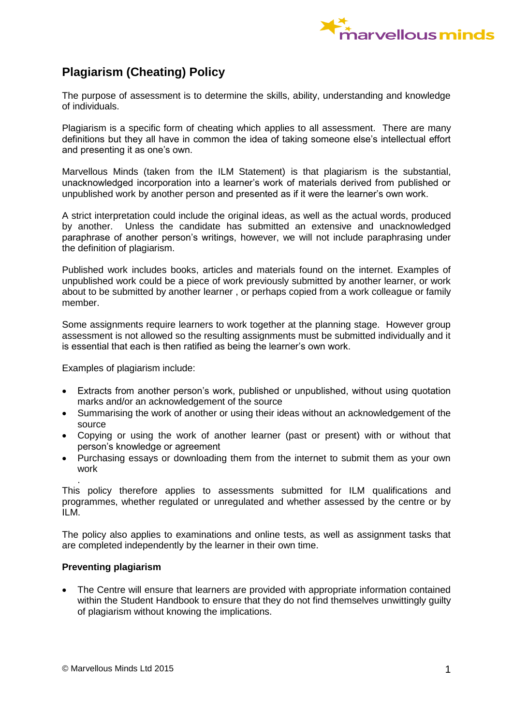

## **Plagiarism (Cheating) Policy**

The purpose of assessment is to determine the skills, ability, understanding and knowledge of individuals.

Plagiarism is a specific form of cheating which applies to all assessment. There are many definitions but they all have in common the idea of taking someone else's intellectual effort and presenting it as one's own.

Marvellous Minds (taken from the ILM Statement) is that plagiarism is the substantial, unacknowledged incorporation into a learner's work of materials derived from published or unpublished work by another person and presented as if it were the learner's own work.

A strict interpretation could include the original ideas, as well as the actual words, produced by another. Unless the candidate has submitted an extensive and unacknowledged paraphrase of another person's writings, however, we will not include paraphrasing under the definition of plagiarism.

Published work includes books, articles and materials found on the internet. Examples of unpublished work could be a piece of work previously submitted by another learner, or work about to be submitted by another learner , or perhaps copied from a work colleague or family member.

Some assignments require learners to work together at the planning stage. However group assessment is not allowed so the resulting assignments must be submitted individually and it is essential that each is then ratified as being the learner's own work.

Examples of plagiarism include:

- Extracts from another person's work, published or unpublished, without using quotation marks and/or an acknowledgement of the source
- Summarising the work of another or using their ideas without an acknowledgement of the source
- Copying or using the work of another learner (past or present) with or without that person's knowledge or agreement
- Purchasing essays or downloading them from the internet to submit them as your own work

. This policy therefore applies to assessments submitted for ILM qualifications and programmes, whether regulated or unregulated and whether assessed by the centre or by ILM.

The policy also applies to examinations and online tests, as well as assignment tasks that are completed independently by the learner in their own time.

## **Preventing plagiarism**

 The Centre will ensure that learners are provided with appropriate information contained within the Student Handbook to ensure that they do not find themselves unwittingly guilty of plagiarism without knowing the implications.